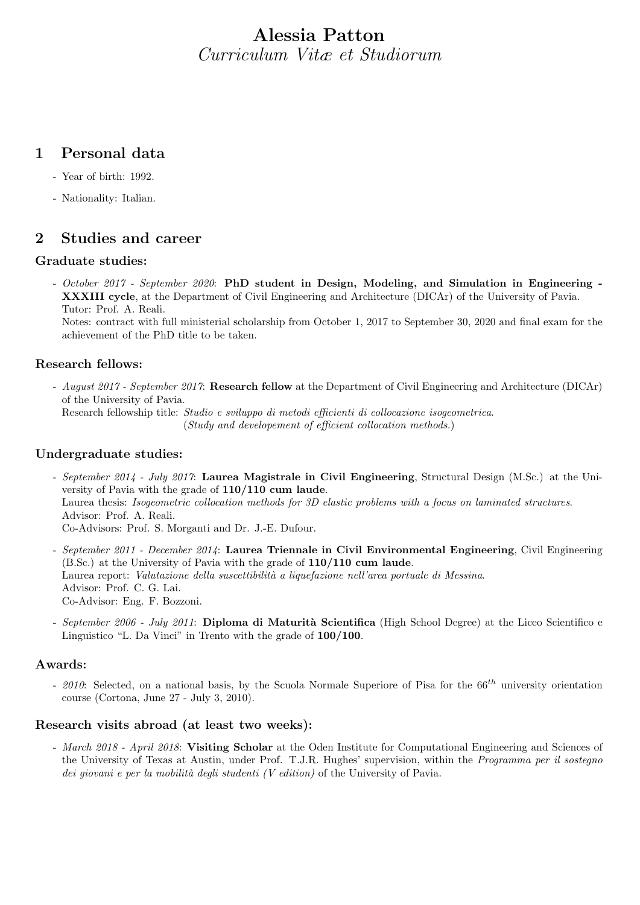# Alessia Patton Curriculum Vitæ et Studiorum

### 1 Personal data

- Year of birth: 1992.
- Nationality: Italian.

### 2 Studies and career

### Graduate studies:

- October 2017 - September 2020: PhD student in Design, Modeling, and Simulation in Engineering - XXXIII cycle, at the Department of Civil Engineering and Architecture (DICAr) of the University of Pavia. Tutor: Prof. A. Reali.

Notes: contract with full ministerial scholarship from October 1, 2017 to September 30, 2020 and final exam for the achievement of the PhD title to be taken.

### Research fellows:

- August 2017 - September 2017: Research fellow at the Department of Civil Engineering and Architecture (DICAr) of the University of Pavia.

Research fellowship title: Studio e sviluppo di metodi efficienti di collocazione isogeometrica. (Study and developement of efficient collocation methods.)

### Undergraduate studies:

- September 2014 July 2017: Laurea Magistrale in Civil Engineering, Structural Design (M.Sc.) at the University of Pavia with the grade of 110/110 cum laude. Laurea thesis: Isogeometric collocation methods for 3D elastic problems with a focus on laminated structures. Advisor: Prof. A. Reali. Co-Advisors: Prof. S. Morganti and Dr. J.-E. Dufour.
- September 2011 December 2014: Laurea Triennale in Civil Environmental Engineering, Civil Engineering (B.Sc.) at the University of Pavia with the grade of 110/110 cum laude. Laurea report: Valutazione della suscettibilità a liquefazione nell'area portuale di Messina. Advisor: Prof. C. G. Lai. Co-Advisor: Eng. F. Bozzoni.
- September 2006 July 2011: Diploma di Maturità Scientifica (High School Degree) at the Liceo Scientifico e Linguistico "L. Da Vinci" in Trento with the grade of 100/100.

### Awards:

- 2010: Selected, on a national basis, by the Scuola Normale Superiore of Pisa for the  $66^{th}$  university orientation course (Cortona, June 27 - July 3, 2010).

### Research visits abroad (at least two weeks):

- March 2018 - April 2018: Visiting Scholar at the Oden Institute for Computational Engineering and Sciences of the University of Texas at Austin, under Prof. T.J.R. Hughes' supervision, within the Programma per il sostegno dei giovani e per la mobilità degli studenti (V edition) of the University of Pavia.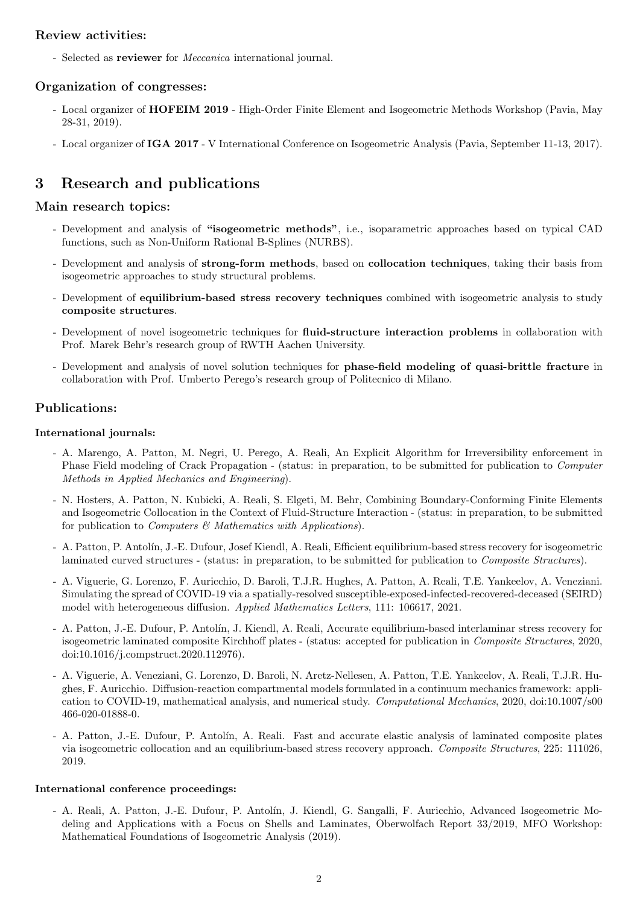### Review activities:

- Selected as reviewer for Meccanica international journal.

### Organization of congresses:

- Local organizer of **HOFEIM 2019** High-Order Finite Element and Isogeometric Methods Workshop (Pavia, May 28-31, 2019).
- Local organizer of IGA 2017 V International Conference on Isogeometric Analysis (Pavia, September 11-13, 2017).

# 3 Research and publications

### Main research topics:

- Development and analysis of "isogeometric methods", i.e., isoparametric approaches based on typical CAD functions, such as Non-Uniform Rational B-Splines (NURBS).
- Development and analysis of strong-form methods, based on collocation techniques, taking their basis from isogeometric approaches to study structural problems.
- Development of equilibrium-based stress recovery techniques combined with isogeometric analysis to study composite structures.
- Development of novel isogeometric techniques for **fluid-structure interaction problems** in collaboration with Prof. Marek Behr's research group of RWTH Aachen University.
- Development and analysis of novel solution techniques for phase-field modeling of quasi-brittle fracture in collaboration with Prof. Umberto Perego's research group of Politecnico di Milano.

### Publications:

#### International journals:

- A. Marengo, A. Patton, M. Negri, U. Perego, A. Reali, An Explicit Algorithm for Irreversibility enforcement in Phase Field modeling of Crack Propagation - (status: in preparation, to be submitted for publication to Computer Methods in Applied Mechanics and Engineering).
- N. Hosters, A. Patton, N. Kubicki, A. Reali, S. Elgeti, M. Behr, Combining Boundary-Conforming Finite Elements and Isogeometric Collocation in the Context of Fluid-Structure Interaction - (status: in preparation, to be submitted for publication to *Computers*  $\mathcal{B}$  Mathematics with Applications).
- A. Patton, P. Antol´ın, J.-E. Dufour, Josef Kiendl, A. Reali, Efficient equilibrium-based stress recovery for isogeometric laminated curved structures - (status: in preparation, to be submitted for publication to *Composite Structures*).
- A. Viguerie, G. Lorenzo, F. Auricchio, D. Baroli, T.J.R. Hughes, A. Patton, A. Reali, T.E. Yankeelov, A. Veneziani. Simulating the spread of COVID-19 via a spatially-resolved susceptible-exposed-infected-recovered-deceased (SEIRD) model with heterogeneous diffusion. Applied Mathematics Letters, 111: 106617, 2021.
- A. Patton, J.-E. Dufour, P. Antolín, J. Kiendl, A. Reali, Accurate equilibrium-based interlaminar stress recovery for isogeometric laminated composite Kirchhoff plates - (status: accepted for publication in Composite Structures, 2020, doi:10.1016/j.compstruct.2020.112976).
- A. Viguerie, A. Veneziani, G. Lorenzo, D. Baroli, N. Aretz-Nellesen, A. Patton, T.E. Yankeelov, A. Reali, T.J.R. Hughes, F. Auricchio. Diffusion-reaction compartmental models formulated in a continuum mechanics framework: application to COVID-19, mathematical analysis, and numerical study. Computational Mechanics, 2020, doi:10.1007/s00 466-020-01888-0.
- A. Patton, J.-E. Dufour, P. Antolín, A. Reali. Fast and accurate elastic analysis of laminated composite plates via isogeometric collocation and an equilibrium-based stress recovery approach. Composite Structures, 225: 111026, 2019.

#### International conference proceedings:

- A. Reali, A. Patton, J.-E. Dufour, P. Antol´ın, J. Kiendl, G. Sangalli, F. Auricchio, Advanced Isogeometric Modeling and Applications with a Focus on Shells and Laminates, Oberwolfach Report 33/2019, MFO Workshop: Mathematical Foundations of Isogeometric Analysis (2019).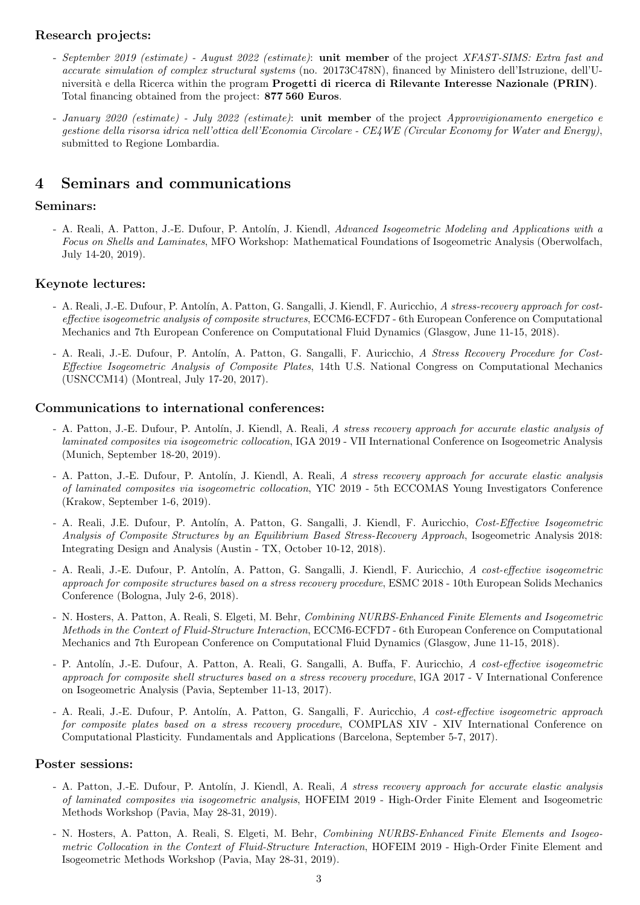### Research projects:

- September 2019 (estimate) August 2022 (estimate): unit member of the project XFAST-SIMS: Extra fast and accurate simulation of complex structural systems (no. 20173C478N), financed by Ministero dell'Istruzione, dell'Università e della Ricerca within the program Progetti di ricerca di Rilevante Interesse Nazionale (PRIN). Total financing obtained from the project: 877 560 Euros.
- January 2020 (estimate) July 2022 (estimate): **unit member** of the project Approvvigionamento energetico e gestione della risorsa idrica nell'ottica dell'Economia Circolare - CE4WE (Circular Economy for Water and Energy), submitted to Regione Lombardia.

### 4 Seminars and communications

### Seminars:

- A. Reali, A. Patton, J.-E. Dufour, P. Antolín, J. Kiendl, Advanced Isogeometric Modeling and Applications with a Focus on Shells and Laminates, MFO Workshop: Mathematical Foundations of Isogeometric Analysis (Oberwolfach, July 14-20, 2019).

### Keynote lectures:

- A. Reali, J.-E. Dufour, P. Antolín, A. Patton, G. Sangalli, J. Kiendl, F. Auricchio, A stress-recovery approach for costeffective isogeometric analysis of composite structures, ECCM6-ECFD7 - 6th European Conference on Computational Mechanics and 7th European Conference on Computational Fluid Dynamics (Glasgow, June 11-15, 2018).
- A. Reali, J.-E. Dufour, P. Antolín, A. Patton, G. Sangalli, F. Auricchio, A Stress Recovery Procedure for Cost-Effective Isogeometric Analysis of Composite Plates, 14th U.S. National Congress on Computational Mechanics (USNCCM14) (Montreal, July 17-20, 2017).

### Communications to international conferences:

- A. Patton, J.-E. Dufour, P. Antolín, J. Kiendl, A. Reali, A stress recovery approach for accurate elastic analysis of laminated composites via isogeometric collocation, IGA 2019 - VII International Conference on Isogeometric Analysis (Munich, September 18-20, 2019).
- A. Patton, J.-E. Dufour, P. Antolín, J. Kiendl, A. Reali, A stress recovery approach for accurate elastic analysis of laminated composites via isogeometric collocation, YIC 2019 - 5th ECCOMAS Young Investigators Conference (Krakow, September 1-6, 2019).
- A. Reali, J.E. Dufour, P. Antolín, A. Patton, G. Sangalli, J. Kiendl, F. Auricchio, Cost-Effective Isogeometric Analysis of Composite Structures by an Equilibrium Based Stress-Recovery Approach, Isogeometric Analysis 2018: Integrating Design and Analysis (Austin - TX, October 10-12, 2018).
- A. Reali, J.-E. Dufour, P. Antolín, A. Patton, G. Sangalli, J. Kiendl, F. Auricchio, A cost-effective isogeometric approach for composite structures based on a stress recovery procedure, ESMC 2018 - 10th European Solids Mechanics Conference (Bologna, July 2-6, 2018).
- N. Hosters, A. Patton, A. Reali, S. Elgeti, M. Behr, Combining NURBS-Enhanced Finite Elements and Isogeometric Methods in the Context of Fluid-Structure Interaction, ECCM6-ECFD7 - 6th European Conference on Computational Mechanics and 7th European Conference on Computational Fluid Dynamics (Glasgow, June 11-15, 2018).
- P. Antolín, J.-E. Dufour, A. Patton, A. Reali, G. Sangalli, A. Buffa, F. Auricchio, A cost-effective isogeometric approach for composite shell structures based on a stress recovery procedure, IGA 2017 - V International Conference on Isogeometric Analysis (Pavia, September 11-13, 2017).
- A. Reali, J.-E. Dufour, P. Antolín, A. Patton, G. Sangalli, F. Auricchio, A cost-effective isogeometric approach for composite plates based on a stress recovery procedure, COMPLAS XIV - XIV International Conference on Computational Plasticity. Fundamentals and Applications (Barcelona, September 5-7, 2017).

### Poster sessions:

- A. Patton, J.-E. Dufour, P. Antolín, J. Kiendl, A. Reali, A stress recovery approach for accurate elastic analysis of laminated composites via isogeometric analysis, HOFEIM 2019 - High-Order Finite Element and Isogeometric Methods Workshop (Pavia, May 28-31, 2019).
- N. Hosters, A. Patton, A. Reali, S. Elgeti, M. Behr, Combining NURBS-Enhanced Finite Elements and Isogeometric Collocation in the Context of Fluid-Structure Interaction, HOFEIM 2019 - High-Order Finite Element and Isogeometric Methods Workshop (Pavia, May 28-31, 2019).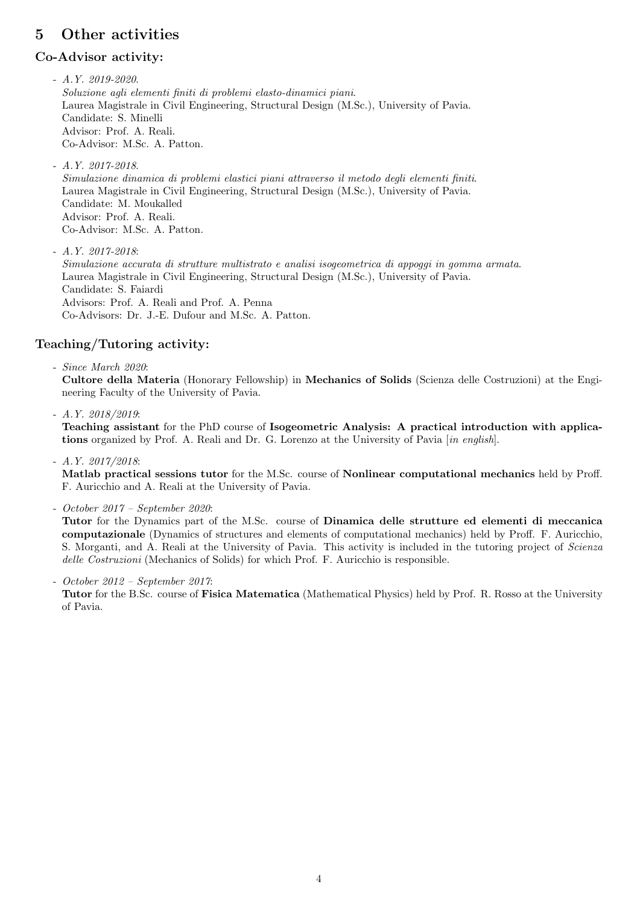# 5 Other activities

### Co-Advisor activity:

- $A. Y. 2019 2020.$ Soluzione agli elementi finiti di problemi elasto-dinamici piani. Laurea Magistrale in Civil Engineering, Structural Design (M.Sc.), University of Pavia. Candidate: S. Minelli Advisor: Prof. A. Reali. Co-Advisor: M.Sc. A. Patton.
- A.Y. 2017-2018. Simulazione dinamica di problemi elastici piani attraverso il metodo degli elementi finiti. Laurea Magistrale in Civil Engineering, Structural Design (M.Sc.), University of Pavia. Candidate: M. Moukalled Advisor: Prof. A. Reali. Co-Advisor: M.Sc. A. Patton.
- $A.Y. 2017 2018$ : Simulazione accurata di strutture multistrato e analisi isogeometrica di appoggi in gomma armata. Laurea Magistrale in Civil Engineering, Structural Design (M.Sc.), University of Pavia. Candidate: S. Faiardi Advisors: Prof. A. Reali and Prof. A. Penna Co-Advisors: Dr. J.-E. Dufour and M.Sc. A. Patton.

### Teaching/Tutoring activity:

- Since March 2020: Cultore della Materia (Honorary Fellowship) in Mechanics of Solids (Scienza delle Costruzioni) at the Engineering Faculty of the University of Pavia.

- A.Y. 2018/2019:

Teaching assistant for the PhD course of Isogeometric Analysis: A practical introduction with applications organized by Prof. A. Reali and Dr. G. Lorenzo at the University of Pavia [in english].

- A.Y. 2017/2018:

Matlab practical sessions tutor for the M.Sc. course of Nonlinear computational mechanics held by Proff. F. Auricchio and A. Reali at the University of Pavia.

- October 2017 – September 2020:

Tutor for the Dynamics part of the M.Sc. course of Dinamica delle strutture ed elementi di meccanica computazionale (Dynamics of structures and elements of computational mechanics) held by Proff. F. Auricchio, S. Morganti, and A. Reali at the University of Pavia. This activity is included in the tutoring project of Scienza delle Costruzioni (Mechanics of Solids) for which Prof. F. Auricchio is responsible.

- October 2012 – September 2017:

Tutor for the B.Sc. course of Fisica Matematica (Mathematical Physics) held by Prof. R. Rosso at the University of Pavia.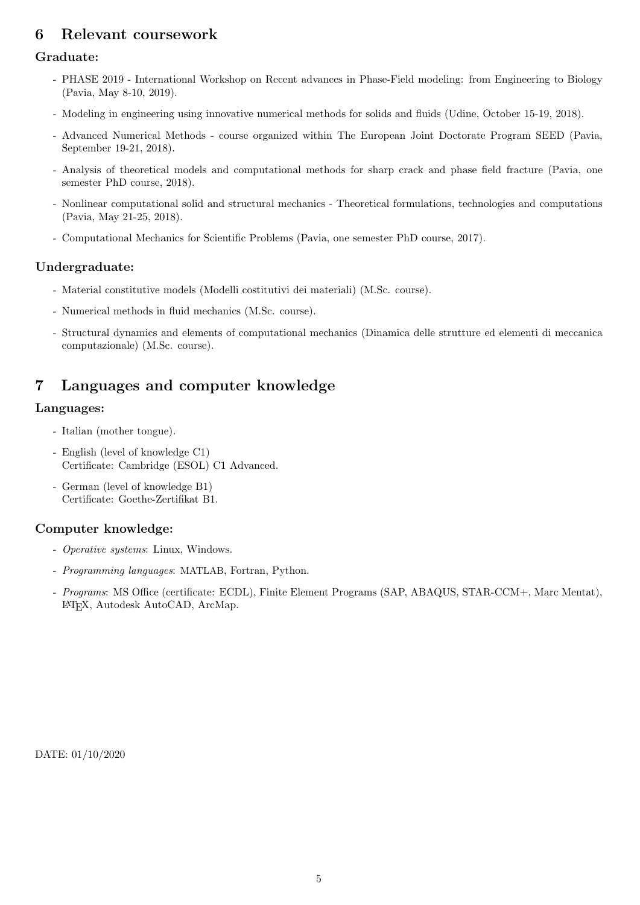# 6 Relevant coursework

### Graduate:

- PHASE 2019 International Workshop on Recent advances in Phase-Field modeling: from Engineering to Biology (Pavia, May 8-10, 2019).
- Modeling in engineering using innovative numerical methods for solids and fluids (Udine, October 15-19, 2018).
- Advanced Numerical Methods course organized within The European Joint Doctorate Program SEED (Pavia, September 19-21, 2018).
- Analysis of theoretical models and computational methods for sharp crack and phase field fracture (Pavia, one semester PhD course, 2018).
- Nonlinear computational solid and structural mechanics Theoretical formulations, technologies and computations (Pavia, May 21-25, 2018).
- Computational Mechanics for Scientific Problems (Pavia, one semester PhD course, 2017).

### Undergraduate:

- Material constitutive models (Modelli costitutivi dei materiali) (M.Sc. course).
- Numerical methods in fluid mechanics (M.Sc. course).
- Structural dynamics and elements of computational mechanics (Dinamica delle strutture ed elementi di meccanica computazionale) (M.Sc. course).

### 7 Languages and computer knowledge

### Languages:

- Italian (mother tongue).
- English (level of knowledge C1) Certificate: Cambridge (ESOL) C1 Advanced.
- German (level of knowledge B1) Certificate: Goethe-Zertifikat B1.

### Computer knowledge:

- Operative systems: Linux, Windows.
- Programming languages: MATLAB, Fortran, Python.
- Programs: MS Office (certificate: ECDL), Finite Element Programs (SAP, ABAQUS, STAR-CCM+, Marc Mentat), LATEX, Autodesk AutoCAD, ArcMap.

DATE: 01/10/2020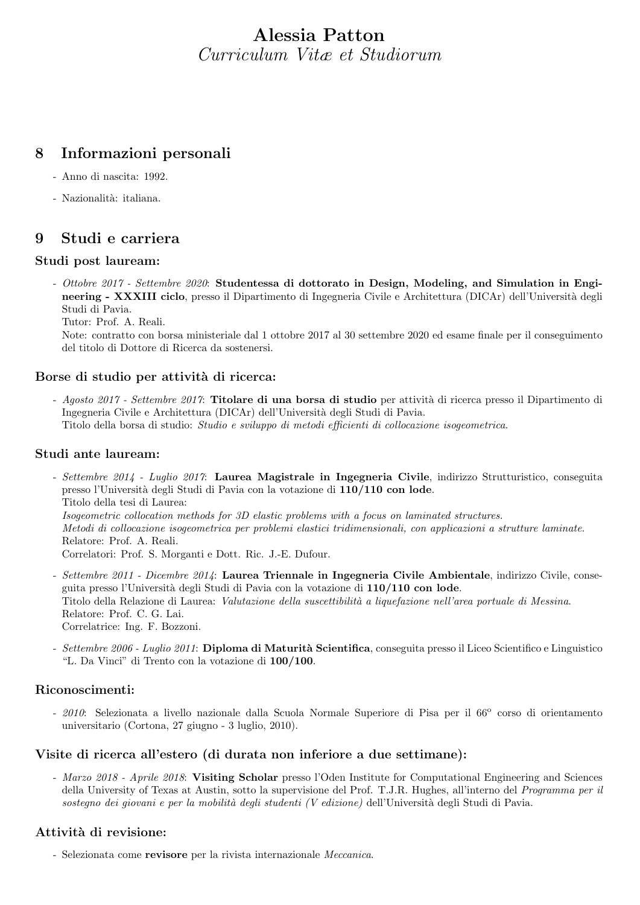# Alessia Patton Curriculum Vitæ et Studiorum

### 8 Informazioni personali

- Anno di nascita: 1992.
- Nazionalità: italiana.

### 9 Studi e carriera

### Studi post lauream:

- Ottobre 2017 - Settembre 2020: Studentessa di dottorato in Design, Modeling, and Simulation in Engineering - XXXIII ciclo, presso il Dipartimento di Ingegneria Civile e Architettura (DICAr) dell'Università degli Studi di Pavia.

Tutor: Prof. A. Reali.

Note: contratto con borsa ministeriale dal 1 ottobre 2017 al 30 settembre 2020 ed esame finale per il conseguimento del titolo di Dottore di Ricerca da sostenersi.

### Borse di studio per attività di ricerca:

- Agosto 2017 - Settembre 2017: Titolare di una borsa di studio per attività di ricerca presso il Dipartimento di Ingegneria Civile e Architettura (DICAr) dell'Università degli Studi di Pavia. Titolo della borsa di studio: Studio e sviluppo di metodi efficienti di collocazione isogeometrica.

#### Studi ante lauream:

- Settembre 2014 Luglio 2017: Laurea Magistrale in Ingegneria Civile, indirizzo Strutturistico, conseguita presso l'Università degli Studi di Pavia con la votazione di 110/110 con lode. Titolo della tesi di Laurea: Isogeometric collocation methods for 3D elastic problems with a focus on laminated structures. Metodi di collocazione isogeometrica per problemi elastici tridimensionali, con applicazioni a strutture laminate. Relatore: Prof. A. Reali. Correlatori: Prof. S. Morganti e Dott. Ric. J.-E. Dufour.
- Settembre 2011 Dicembre 2014: Laurea Triennale in Ingegneria Civile Ambientale, indirizzo Civile, conseguita presso l'Universit`a degli Studi di Pavia con la votazione di 110/110 con lode. Titolo della Relazione di Laurea: Valutazione della suscettibilità a liquefazione nell'area portuale di Messina. Relatore: Prof. C. G. Lai. Correlatrice: Ing. F. Bozzoni.
- Settembre 2006 Luglio 2011: Diploma di Maturità Scientifica, conseguita presso il Liceo Scientifico e Linguistico "L. Da Vinci" di Trento con la votazione di 100/100.

### Riconoscimenti:

- 2010: Selezionata a livello nazionale dalla Scuola Normale Superiore di Pisa per il 66° corso di orientamento universitario (Cortona, 27 giugno - 3 luglio, 2010).

#### Visite di ricerca all'estero (di durata non inferiore a due settimane):

- Marzo 2018 - Aprile 2018: Visiting Scholar presso l'Oden Institute for Computational Engineering and Sciences della University of Texas at Austin, sotto la supervisione del Prof. T.J.R. Hughes, all'interno del Programma per il sostegno dei giovani e per la mobilità degli studenti (V edizione) dell'Università degli Studi di Pavia.

### Attività di revisione:

- Selezionata come revisore per la rivista internazionale Meccanica.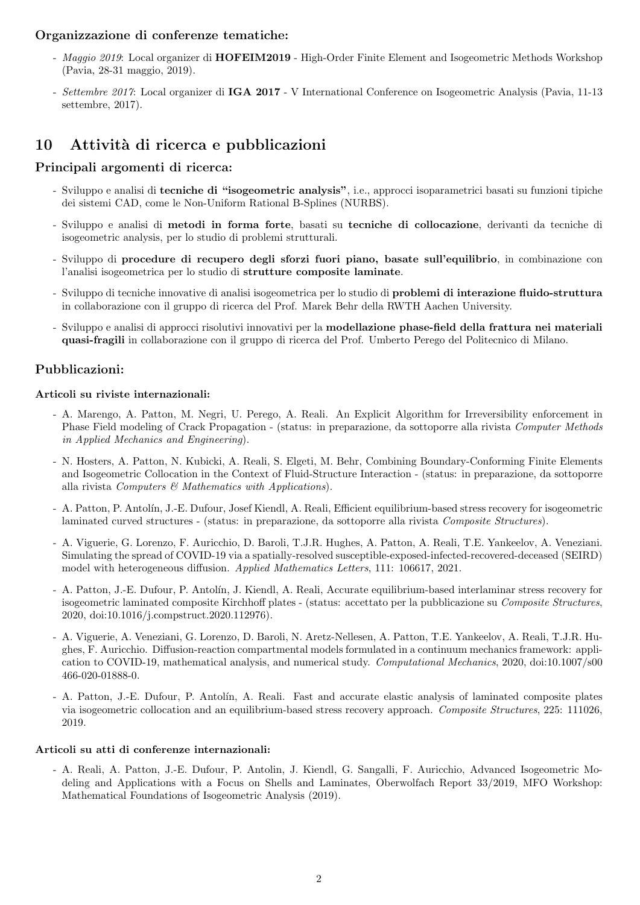### Organizzazione di conferenze tematiche:

- Maggio 2019: Local organizer di HOFEIM2019 High-Order Finite Element and Isogeometric Methods Workshop (Pavia, 28-31 maggio, 2019).
- Settembre 2017: Local organizer di IGA 2017 V International Conference on Isogeometric Analysis (Pavia, 11-13 settembre, 2017).

# 10 Attività di ricerca e pubblicazioni

### Principali argomenti di ricerca:

- Sviluppo e analisi di tecniche di "isogeometric analysis", i.e., approcci isoparametrici basati su funzioni tipiche dei sistemi CAD, come le Non-Uniform Rational B-Splines (NURBS).
- Sviluppo e analisi di metodi in forma forte, basati su tecniche di collocazione, derivanti da tecniche di isogeometric analysis, per lo studio di problemi strutturali.
- Sviluppo di procedure di recupero degli sforzi fuori piano, basate sull'equilibrio, in combinazione con l'analisi isogeometrica per lo studio di strutture composite laminate.
- Sviluppo di tecniche innovative di analisi isogeometrica per lo studio di problemi di interazione fluido-struttura in collaborazione con il gruppo di ricerca del Prof. Marek Behr della RWTH Aachen University.
- Sviluppo e analisi di approcci risolutivi innovativi per la modellazione phase-field della frattura nei materiali quasi-fragili in collaborazione con il gruppo di ricerca del Prof. Umberto Perego del Politecnico di Milano.

### Pubblicazioni:

#### Articoli su riviste internazionali:

- A. Marengo, A. Patton, M. Negri, U. Perego, A. Reali. An Explicit Algorithm for Irreversibility enforcement in Phase Field modeling of Crack Propagation - (status: in preparazione, da sottoporre alla rivista Computer Methods in Applied Mechanics and Engineering).
- N. Hosters, A. Patton, N. Kubicki, A. Reali, S. Elgeti, M. Behr, Combining Boundary-Conforming Finite Elements and Isogeometric Collocation in the Context of Fluid-Structure Interaction - (status: in preparazione, da sottoporre alla rivista Computers  $\mathcal C$  Mathematics with Applications).
- A. Patton, P. Antol´ın, J.-E. Dufour, Josef Kiendl, A. Reali, Efficient equilibrium-based stress recovery for isogeometric laminated curved structures - (status: in preparazione, da sottoporre alla rivista Composite Structures).
- A. Viguerie, G. Lorenzo, F. Auricchio, D. Baroli, T.J.R. Hughes, A. Patton, A. Reali, T.E. Yankeelov, A. Veneziani. Simulating the spread of COVID-19 via a spatially-resolved susceptible-exposed-infected-recovered-deceased (SEIRD) model with heterogeneous diffusion. Applied Mathematics Letters, 111: 106617, 2021.
- A. Patton, J.-E. Dufour, P. Antolín, J. Kiendl, A. Reali, Accurate equilibrium-based interlaminar stress recovery for isogeometric laminated composite Kirchhoff plates - (status: accettato per la pubblicazione su Composite Structures, 2020, doi:10.1016/j.compstruct.2020.112976).
- A. Viguerie, A. Veneziani, G. Lorenzo, D. Baroli, N. Aretz-Nellesen, A. Patton, T.E. Yankeelov, A. Reali, T.J.R. Hughes, F. Auricchio. Diffusion-reaction compartmental models formulated in a continuum mechanics framework: application to COVID-19, mathematical analysis, and numerical study. Computational Mechanics, 2020, doi:10.1007/s00 466-020-01888-0.
- A. Patton, J.-E. Dufour, P. Antolín, A. Reali. Fast and accurate elastic analysis of laminated composite plates via isogeometric collocation and an equilibrium-based stress recovery approach. Composite Structures, 225: 111026, 2019.

#### Articoli su atti di conferenze internazionali:

- A. Reali, A. Patton, J.-E. Dufour, P. Antolin, J. Kiendl, G. Sangalli, F. Auricchio, Advanced Isogeometric Modeling and Applications with a Focus on Shells and Laminates, Oberwolfach Report 33/2019, MFO Workshop: Mathematical Foundations of Isogeometric Analysis (2019).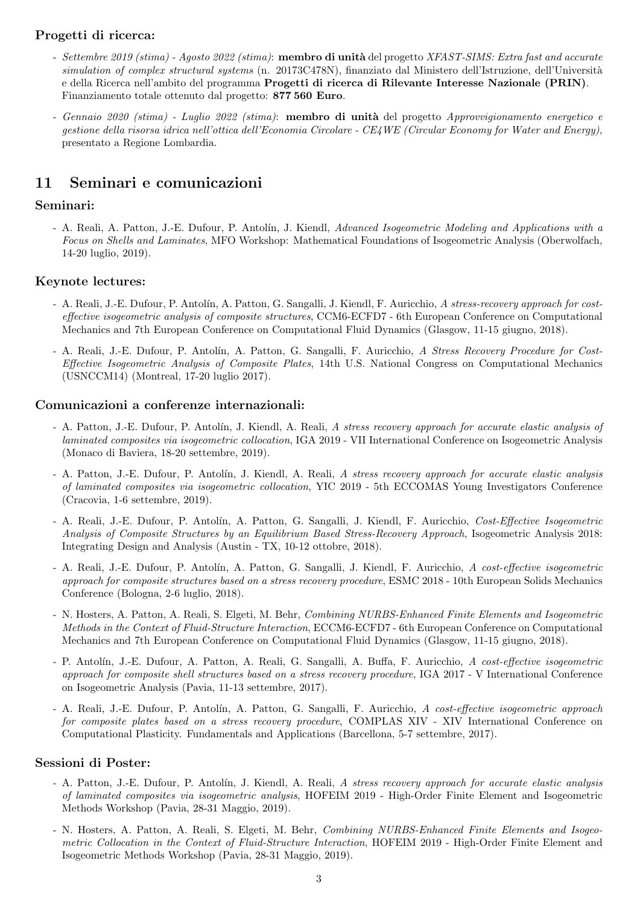### Progetti di ricerca:

- Settembre 2019 (stima) Agosto 2022 (stima): membro di unità del progetto XFAST-SIMS: Extra fast and accurate simulation of complex structural systems (n. 20173C478N), finanziato dal Ministero dell'Istruzione, dell'Università e della Ricerca nell'ambito del programma Progetti di ricerca di Rilevante Interesse Nazionale (PRIN). Finanziamento totale ottenuto dal progetto: 877 560 Euro.
- Gennaio 2020 (stima) Luglio 2022 (stima): **membro di unità** del progetto Approvvigionamento energetico e gestione della risorsa idrica nell'ottica dell'Economia Circolare - CE4WE (Circular Economy for Water and Energy), presentato a Regione Lombardia.

### 11 Seminari e comunicazioni

### Seminari:

- A. Reali, A. Patton, J.-E. Dufour, P. Antolín, J. Kiendl, Advanced Isogeometric Modeling and Applications with a Focus on Shells and Laminates, MFO Workshop: Mathematical Foundations of Isogeometric Analysis (Oberwolfach, 14-20 luglio, 2019).

### Keynote lectures:

- A. Reali, J.-E. Dufour, P. Antolín, A. Patton, G. Sangalli, J. Kiendl, F. Auricchio, A stress-recovery approach for costeffective isogeometric analysis of composite structures, CCM6-ECFD7 - 6th European Conference on Computational Mechanics and 7th European Conference on Computational Fluid Dynamics (Glasgow, 11-15 giugno, 2018).
- A. Reali, J.-E. Dufour, P. Antolín, A. Patton, G. Sangalli, F. Auricchio, A Stress Recovery Procedure for Cost-Effective Isogeometric Analysis of Composite Plates, 14th U.S. National Congress on Computational Mechanics (USNCCM14) (Montreal, 17-20 luglio 2017).

#### Comunicazioni a conferenze internazionali:

- A. Patton, J.-E. Dufour, P. Antolín, J. Kiendl, A. Reali, A stress recovery approach for accurate elastic analysis of laminated composites via isogeometric collocation, IGA 2019 - VII International Conference on Isogeometric Analysis (Monaco di Baviera, 18-20 settembre, 2019).
- A. Patton, J.-E. Dufour, P. Antolín, J. Kiendl, A. Reali, A stress recovery approach for accurate elastic analysis of laminated composites via isogeometric collocation, YIC 2019 - 5th ECCOMAS Young Investigators Conference (Cracovia, 1-6 settembre, 2019).
- A. Reali, J.-E. Dufour, P. Antolín, A. Patton, G. Sangalli, J. Kiendl, F. Auricchio, Cost-Effective Isogeometric Analysis of Composite Structures by an Equilibrium Based Stress-Recovery Approach, Isogeometric Analysis 2018: Integrating Design and Analysis (Austin - TX, 10-12 ottobre, 2018).
- A. Reali, J.-E. Dufour, P. Antolín, A. Patton, G. Sangalli, J. Kiendl, F. Auricchio, A cost-effective isogeometric approach for composite structures based on a stress recovery procedure, ESMC 2018 - 10th European Solids Mechanics Conference (Bologna, 2-6 luglio, 2018).
- N. Hosters, A. Patton, A. Reali, S. Elgeti, M. Behr, Combining NURBS-Enhanced Finite Elements and Isogeometric Methods in the Context of Fluid-Structure Interaction, ECCM6-ECFD7 - 6th European Conference on Computational Mechanics and 7th European Conference on Computational Fluid Dynamics (Glasgow, 11-15 giugno, 2018).
- P. Antolín, J.-E. Dufour, A. Patton, A. Reali, G. Sangalli, A. Buffa, F. Auricchio, A cost-effective isogeometric approach for composite shell structures based on a stress recovery procedure, IGA 2017 - V International Conference on Isogeometric Analysis (Pavia, 11-13 settembre, 2017).
- A. Reali, J.-E. Dufour, P. Antolín, A. Patton, G. Sangalli, F. Auricchio, A cost-effective isogeometric approach for composite plates based on a stress recovery procedure, COMPLAS XIV - XIV International Conference on Computational Plasticity. Fundamentals and Applications (Barcellona, 5-7 settembre, 2017).

### Sessioni di Poster:

- A. Patton, J.-E. Dufour, P. Antolín, J. Kiendl, A. Reali, A stress recovery approach for accurate elastic analysis of laminated composites via isogeometric analysis, HOFEIM 2019 - High-Order Finite Element and Isogeometric Methods Workshop (Pavia, 28-31 Maggio, 2019).
- N. Hosters, A. Patton, A. Reali, S. Elgeti, M. Behr, Combining NURBS-Enhanced Finite Elements and Isogeometric Collocation in the Context of Fluid-Structure Interaction, HOFEIM 2019 - High-Order Finite Element and Isogeometric Methods Workshop (Pavia, 28-31 Maggio, 2019).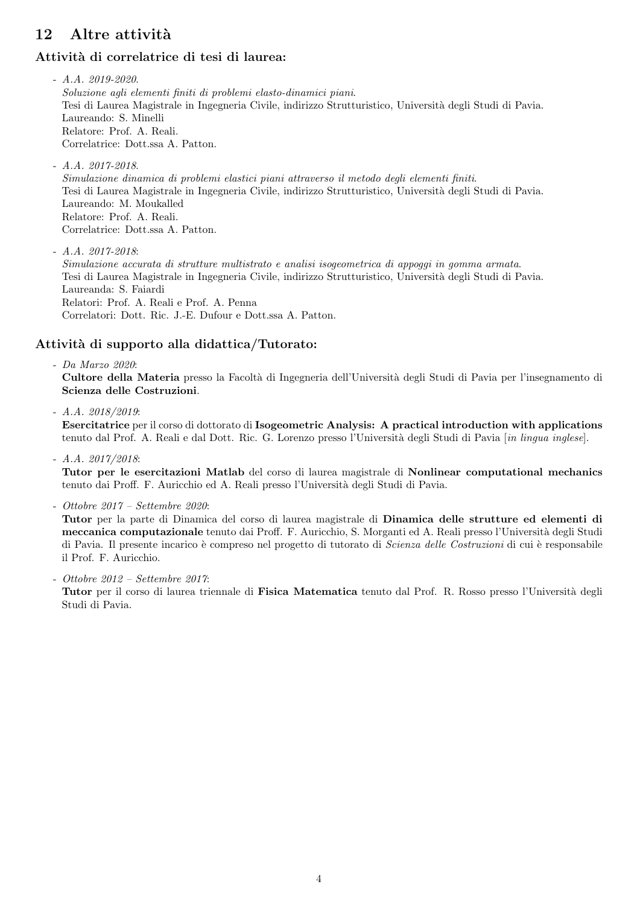# 12 Altre attività

### Attività di correlatrice di tesi di laurea:

 $- A.A. 2019 - 2020.$ Soluzione agli elementi finiti di problemi elasto-dinamici piani. Tesi di Laurea Magistrale in Ingegneria Civile, indirizzo Strutturistico, Universit`a degli Studi di Pavia. Laureando: S. Minelli Relatore: Prof. A. Reali. Correlatrice: Dott.ssa A. Patton.

- A.A. 2017-2018. Simulazione dinamica di problemi elastici piani attraverso il metodo degli elementi finiti. Tesi di Laurea Magistrale in Ingegneria Civile, indirizzo Strutturistico, Università degli Studi di Pavia. Laureando: M. Moukalled Relatore: Prof. A. Reali. Correlatrice: Dott.ssa A. Patton.

 $- A.A. 2017 - 2018$ Simulazione accurata di strutture multistrato e analisi isogeometrica di appoggi in gomma armata. Tesi di Laurea Magistrale in Ingegneria Civile, indirizzo Strutturistico, Universit`a degli Studi di Pavia. Laureanda: S. Faiardi Relatori: Prof. A. Reali e Prof. A. Penna Correlatori: Dott. Ric. J.-E. Dufour e Dott.ssa A. Patton.

### Attività di supporto alla didattica/Tutorato:

- Da Marzo 2020: Cultore della Materia presso la Facoltà di Ingegneria dell'Università degli Studi di Pavia per l'insegnamento di Scienza delle Costruzioni.

- A.A. 2018/2019:

Esercitatrice per il corso di dottorato di Isogeometric Analysis: A practical introduction with applications tenuto dal Prof. A. Reali e dal Dott. Ric. G. Lorenzo presso l'Università degli Studi di Pavia [in lingua inglese].

- A.A. 2017/2018:

Tutor per le esercitazioni Matlab del corso di laurea magistrale di Nonlinear computational mechanics tenuto dai Proff. F. Auricchio ed A. Reali presso l'Universit`a degli Studi di Pavia.

- Ottobre 2017 – Settembre 2020:

Tutor per la parte di Dinamica del corso di laurea magistrale di Dinamica delle strutture ed elementi di meccanica computazionale tenuto dai Proff. F. Auricchio, S. Morganti ed A. Reali presso l'Università degli Studi di Pavia. Il presente incarico è compreso nel progetto di tutorato di Scienza delle Costruzioni di cui è responsabile il Prof. F. Auricchio.

- Ottobre 2012 – Settembre 2017:

Tutor per il corso di laurea triennale di Fisica Matematica tenuto dal Prof. R. Rosso presso l'Università degli Studi di Pavia.